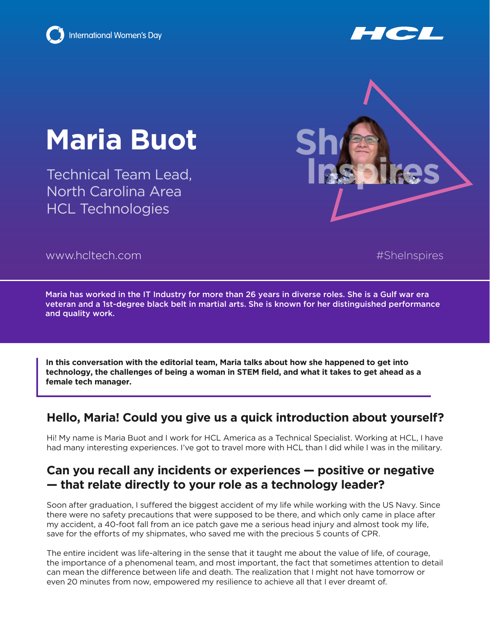

# **Maria Buot**

Technical Team Lead, North Carolina Area HCL Technologies



www.hcltech.com

#SheInspires

Maria has worked in the IT Industry for more than 26 years in diverse roles. She is a Gulf war era veteran and a 1st-degree black belt in martial arts. She is known for her distinguished performance and quality work.

**In this conversation with the editorial team, Maria talks about how she happened to get into technology, the challenges of being a woman in STEM field, and what it takes to get ahead as a female tech manager.**

## **Hello, Maria! Could you give us a quick introduction about yourself?**

Hi! My name is Maria Buot and I work for HCL America as a Technical Specialist. Working at HCL, I have had many interesting experiences. I've got to travel more with HCL than I did while I was in the military.

### **Can you recall any incidents or experiences — positive or negative — that relate directly to your role as a technology leader?**

Soon after graduation, I suffered the biggest accident of my life while working with the US Navy. Since there were no safety precautions that were supposed to be there, and which only came in place after my accident, a 40-foot fall from an ice patch gave me a serious head injury and almost took my life, save for the efforts of my shipmates, who saved me with the precious 5 counts of CPR.

The entire incident was life-altering in the sense that it taught me about the value of life, of courage, the importance of a phenomenal team, and most important, the fact that sometimes attention to detail can mean the difference between life and death. The realization that I might not have tomorrow or even 20 minutes from now, empowered my resilience to achieve all that I ever dreamt of.